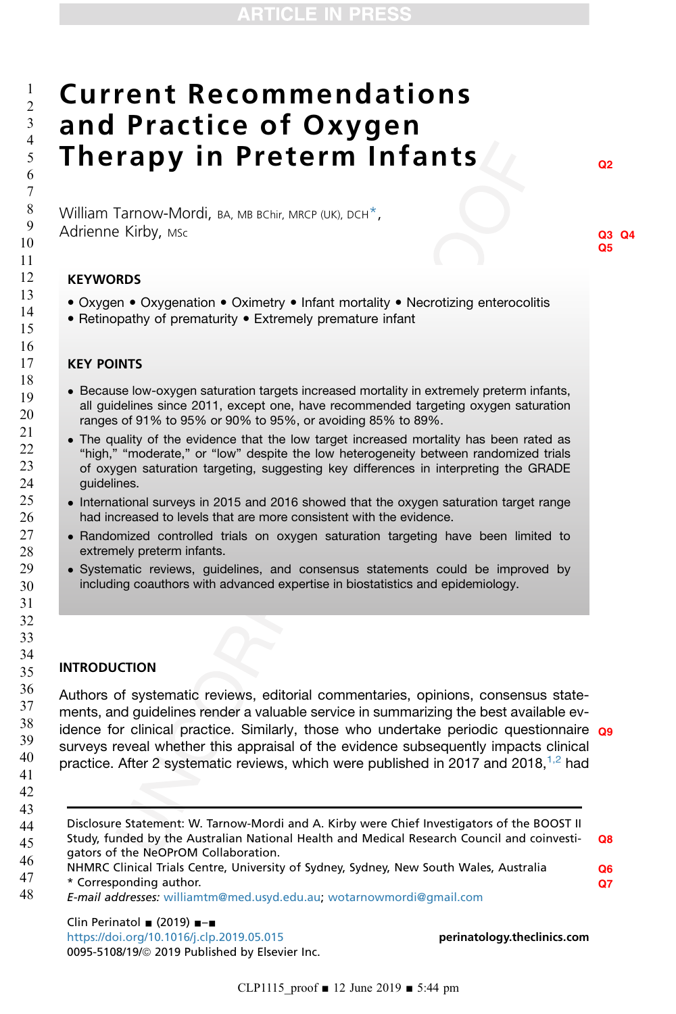# Current Recommendations and Practice of Oxygen Therapy in Preterm Infants  $\overline{Q_2}$   $\overline{Q_2}$

William Tarnow-Mordi, BA, MB BChir, MRCP (UK), DCH<sup>\*</sup>, Adrienne Kirby, Msc **Q3 Q4** 

## **KEYWORDS**

- Oxygen Oxygenation Oximetry Infant mortality Necrotizing enterocolitis
- Retinopathy of prematurity Extremely premature infant

### KEY POINTS

- Because low-oxygen saturation targets increased mortality in extremely preterm infants, all guidelines since 2011, except one, have recommended targeting oxygen saturation ranges of 91% to 95% or 90% to 95%, or avoiding 85% to 89%.
- The quality of the evidence that the low target increased mortality has been rated as "high," "moderate," or "low" despite the low heterogeneity between randomized trials of oxygen saturation targeting, suggesting key differences in interpreting the GRADE guidelines.
- International surveys in 2015 and 2016 showed that the oxygen saturation target range had increased to levels that are more consistent with the evidence.
- Randomized controlled trials on oxygen saturation targeting have been limited to extremely preterm infants.
- Systematic reviews, guidelines, and consensus statements could be improved by including coauthors with advanced expertise in biostatistics and epidemiology.

## INTRODUCTION

Authors of systematic reviews, editorial commentaries, opinions, consensus statements, and guidelines render a valuable service in summarizing the best available evidence for clinical practice. Similarly, those who undertake periodic questionnaire  $q_9$ surveys reveal whether this appraisal of the evidence subsequently impacts clinical practice. After 2 systematic reviews, which were published in 2017 and 2018.<sup>[1,2](#page-11-0)</sup> had 40

41 42

Disclosure Statement: W. Tarnow-Mordi and A. Kirby were Chief Investigators of the BOOST II Study, funded by the Australian National Health and Medical Research Council and coinvesti- Q8 gators of the NeOPrOM Collaboration. 43 44 45 46

- NHMRC Clinical Trials Centre, University of Sydney, Sydney, New South Wales, Australia Q6 \* Corresponding author. Q7 47
- E-mail addresses: [williamtm@med.usyd.edu.au](mailto:williamtm@med.usyd.edu.au); [wotarnowmordi@gmail.com](mailto:wotarnowmordi@gmail.com) 48

Clin Perinatol  $(2019)$   $\neg$ <https://doi.org/10.1016/j.clp.2019.05.015> **[perinatology.theclinics.com](http://perinatology.theclinics.com)** 0095-5108/19/@ 2019 Published by Elsevier Inc.

Q5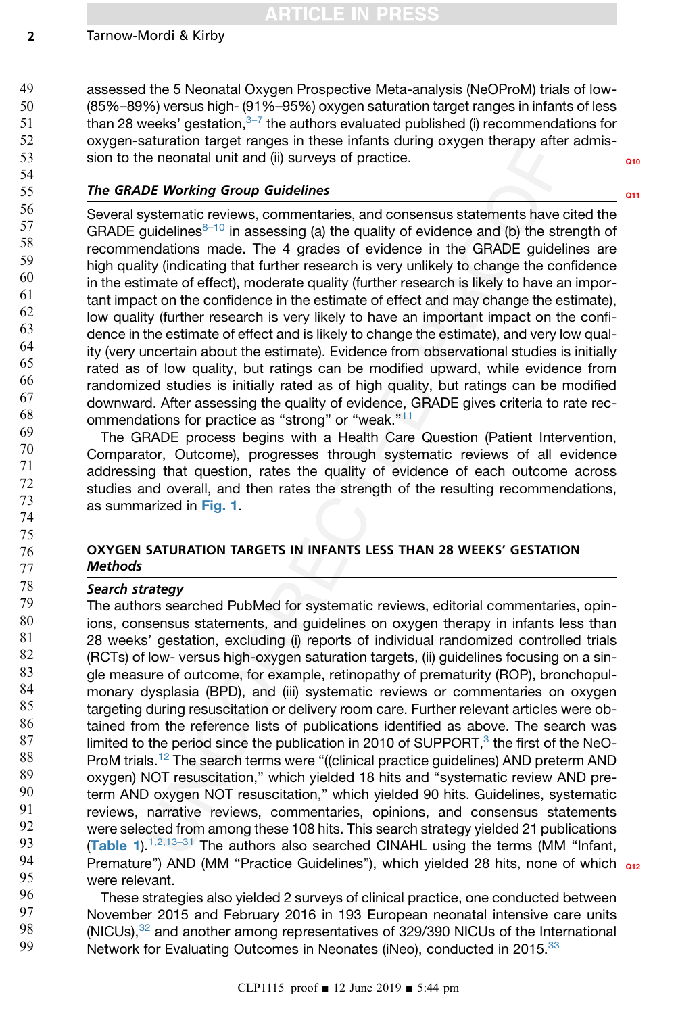75 76 77

assessed the 5 Neonatal Oxygen Prospective Meta-analysis (NeOProM) trials of low- (85%–89%) versus high- (91%–95%) oxygen saturation target ranges in infants of less than 28 weeks' gestation, $3\overline{7}$  the authors evaluated published (i) recommendations for oxygen-saturation target ranges in these infants during oxygen therapy after admission to the neonatal unit and (ii) surveys of practice. Q10 49 50 51 52 53

## The GRADE Working Group Guidelines **The GRADE Working Group Cuidelines**

Several systematic reviews, commentaries, and consensus statements have cited the GRADE guidelines $8-10$  in assessing (a) the quality of evidence and (b) the strength of recommendations made. The 4 grades of evidence in the GRADE guidelines are high quality (indicating that further research is very unlikely to change the confidence in the estimate of effect), moderate quality (further research is likely to have an important impact on the confidence in the estimate of effect and may change the estimate), low quality (further research is very likely to have an important impact on the confidence in the estimate of effect and is likely to change the estimate), and very low quality (very uncertain about the estimate). Evidence from observational studies is initially rated as of low quality, but ratings can be modified upward, while evidence from randomized studies is initially rated as of high quality, but ratings can be modified downward. After assessing the quality of evidence, GRADE gives criteria to rate rec-ommendations for practice as "strong" or "weak."<sup>[11](#page-11-0)</sup> 56 57 58 59 60 61 62 63 64 65 66 67 68

The GRADE process begins with a Health Care Question (Patient Intervention, Comparator, Outcome), progresses through systematic reviews of all evidence addressing that question, rates the quality of evidence of each outcome across studies and overall, and then rates the strength of the resulting recommendations, as summarized in [Fig. 1](#page-2-0). 69 70 71 72 73 74

## OXYGEN SATURATION TARGETS IN INFANTS LESS THAN 28 WEEKS' GESTATION Methods

#### Search strategy 78

The authors searched PubMed for systematic reviews, editorial commentaries, opinions, consensus statements, and guidelines on oxygen therapy in infants less than 28 weeks' gestation, excluding (i) reports of individual randomized controlled trials (RCTs) of low- versus high-oxygen saturation targets, (ii) guidelines focusing on a single measure of outcome, for example, retinopathy of prematurity (ROP), bronchopulmonary dysplasia (BPD), and (iii) systematic reviews or commentaries on oxygen targeting during resuscitation or delivery room care. Further relevant articles were obtained from the reference lists of publications identified as above. The search was limited to the period since the publication in 2010 of SUPPORT, $3$  the first of the NeO-ProM trials.[12](#page-11-0) The search terms were "((clinical practice guidelines) AND preterm AND oxygen) NOT resuscitation," which yielded 18 hits and "systematic review AND preterm AND oxygen NOT resuscitation," which yielded 90 hits. Guidelines, systematic reviews, narrative reviews, commentaries, opinions, and consensus statements were selected from among these 108 hits. This search strategy yielded 21 publications ([Table 1](#page-3-0)).<sup>[1,2,13–31](#page-11-0)</sup> The authors also searched CINAHL using the terms (MM "Infant, Premature") AND (MM "Practice Guidelines"), which yielded 28 hits, none of which  $_{.012}$ were relevant. 79 80 81 82 83 84 85 86 87 88 89 90 91 92 93 94 95

These strategies also yielded 2 surveys of clinical practice, one conducted between November 2015 and February 2016 in 193 European neonatal intensive care units  $(NICUs),<sup>32</sup>$  $(NICUs),<sup>32</sup>$  $(NICUs),<sup>32</sup>$  and another among representatives of 329/390 NICUs of the International Network for Evaluating Outcomes in Neonates (iNeo), conducted in 2015.<sup>33</sup> 96 97 98 99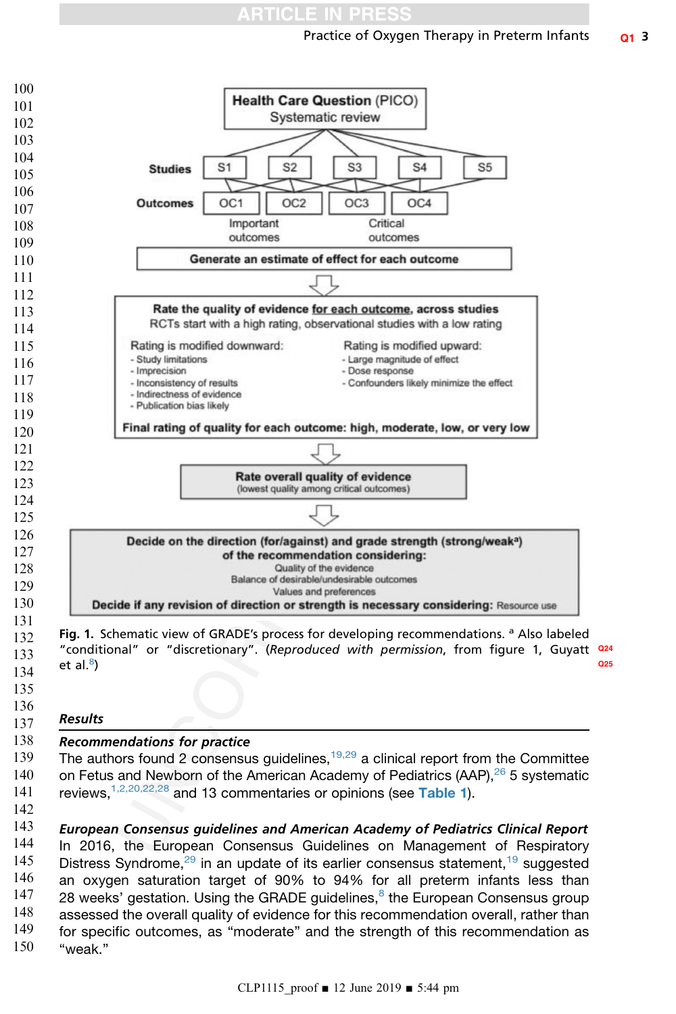## **ARTICLE IN PRESS**

<span id="page-2-0"></span>

"conditional" or "discretionary". (Reproduced with permission, from figure 1, Guyatt <sup>Q24</sup> et al. $<sup>8</sup>$  $<sup>8</sup>$  $<sup>8</sup>$ )</sup> ) and the contract of the contract of the contract of the contract of the contract of the contract of the contract of the contract of the contract of the contract of the contract of the contract of the contract of the con

**Results**  

#### Recommendations for practice

The authors found 2 consensus guidelines, $19,29$  a clinical report from the Committee on Fetus and Newborn of the American Academy of Pediatrics (AAP), $^{26}$  $^{26}$  $^{26}$  5 systematic reviews,  $1,2,20,22,28$  and 13 commentaries or opinions (see [Table 1](#page-3-0)). 

 

European Consensus guidelines and American Academy of Pediatrics Clinical Report In 2016, the European Consensus Guidelines on Management of Respiratory Distress Syndrome,<sup>[29](#page-12-0)</sup> in an update of its earlier consensus statement,<sup>[19](#page-11-0)</sup> suggested an oxygen saturation target of 90% to 94% for all preterm infants less than 2[8](#page-11-0) weeks' gestation. Using the GRADE guidelines, the European Consensus group assessed the overall quality of evidence for this recommendation overall, rather than 

for specific outcomes, as "moderate" and the strength of this recommendation as "weak."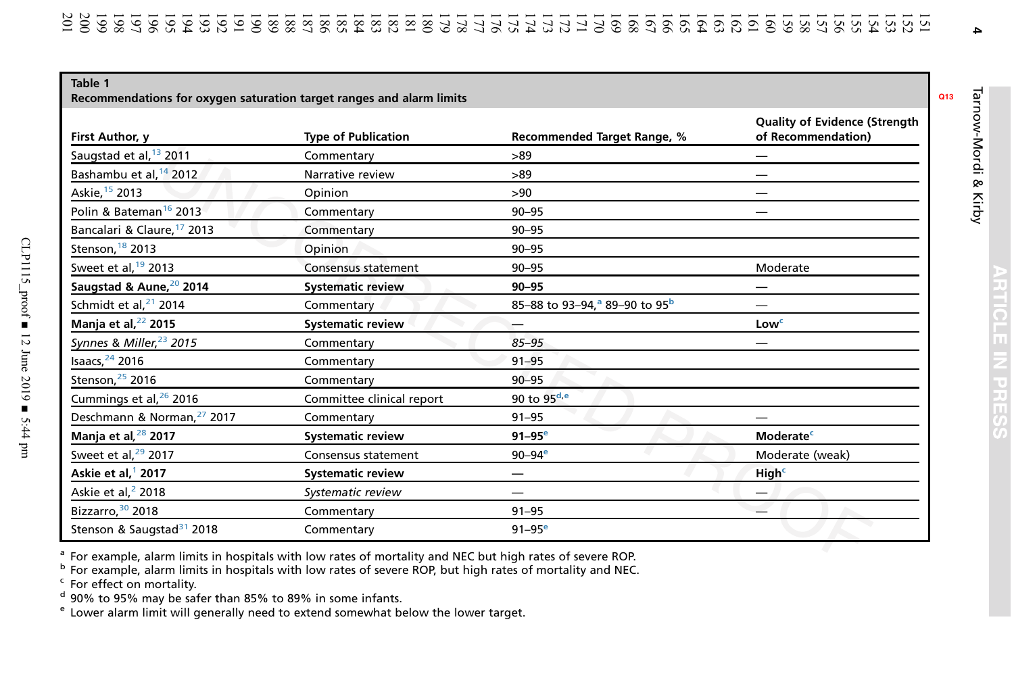<span id="page-3-0"></span>

### Table 1

CLP1115\_proof CLP1115\_proof■

12 June 2019

 $=$  5:44 pm

Recommendations for oxygen saturation target ranges and alarm limits **CONSTAN CONSTANT CONSTANT CONSTANT CONSTANT** Q13

| First Author, y                        | <b>Type of Publication</b> | Recommended Target Range, %                           | <b>Quality of Evidence (Strength</b><br>of Recommendation) |
|----------------------------------------|----------------------------|-------------------------------------------------------|------------------------------------------------------------|
| Saugstad et al, <sup>13</sup> 2011     | Commentary                 | >89                                                   |                                                            |
| Bashambu et al, <sup>14</sup> 2012     | Narrative review           | >89                                                   |                                                            |
| Askie, <sup>15</sup> 2013              | Opinion                    | >90                                                   |                                                            |
| Polin & Bateman <sup>16</sup> 2013     | Commentary                 | $90 - 95$                                             |                                                            |
| Bancalari & Claure, <sup>17</sup> 2013 | Commentary                 | $90 - 95$                                             |                                                            |
| Stenson, <sup>18</sup> 2013            | Opinion                    | $90 - 95$                                             |                                                            |
| Sweet et al, $19$ 2013                 | <b>Consensus statement</b> | $90 - 95$                                             | Moderate                                                   |
| Saugstad & Aune, <sup>20</sup> 2014    | <b>Systematic review</b>   | $90 - 95$                                             |                                                            |
| Schmidt et al, $21$ 2014               | Commentary                 | 85-88 to 93-94, <sup>a</sup> 89-90 to 95 <sup>b</sup> |                                                            |
| Manja et al, $^{22}$ 2015              | <b>Systematic review</b>   | —                                                     | Low <sup>c</sup>                                           |
| Synnes & Miller, <sup>23</sup> 2015    | Commentary                 | $85 - 95$                                             |                                                            |
| Isaacs, $24$ 2016                      | Commentary                 | $91 - 95$                                             |                                                            |
| Stenson, 25 2016                       | Commentary                 | $90 - 95$                                             |                                                            |
| Cummings et al, <sup>26</sup> 2016     | Committee clinical report  | 90 to 95 <sup>d,e</sup>                               |                                                            |
| Deschmann & Norman, <sup>27</sup> 2017 | Commentary                 | $91 - 95$                                             |                                                            |
| Manja et al, $28$ 2017                 | <b>Systematic review</b>   | $91 - 95e$                                            | Moderate <sup>c</sup>                                      |
| Sweet et al, $29$ 2017                 | Consensus statement        | $90 - 94$ <sup>e</sup>                                | Moderate (weak)                                            |
| Askie et al, <sup>1</sup> 2017         | <b>Systematic review</b>   |                                                       | High <sup>c</sup>                                          |
| Askie et al, <sup>2</sup> 2018         | Systematic review          |                                                       |                                                            |
| Bizzarro, 30 2018                      | Commentary                 | $91 - 95$                                             |                                                            |
| Stenson & Saugstad <sup>31</sup> 2018  | Commentary                 | $91 - 95^{\circ}$                                     |                                                            |

<sup>a</sup> For example, alarm limits in hospitals with low rates of mortality and NEC but high rates of severe ROP.<br><sup>b</sup> For example, alarm limits in hospitals with low rates of severe ROP, but high rates of mortality and NEC.

<sup>c</sup> For effect on mortality.

<sup>d</sup> 90% to 95% may be safer than 85% to 89% in some infants.<br><sup>e</sup> Lower alarm limit will generally need to extend somewhat below the lower target.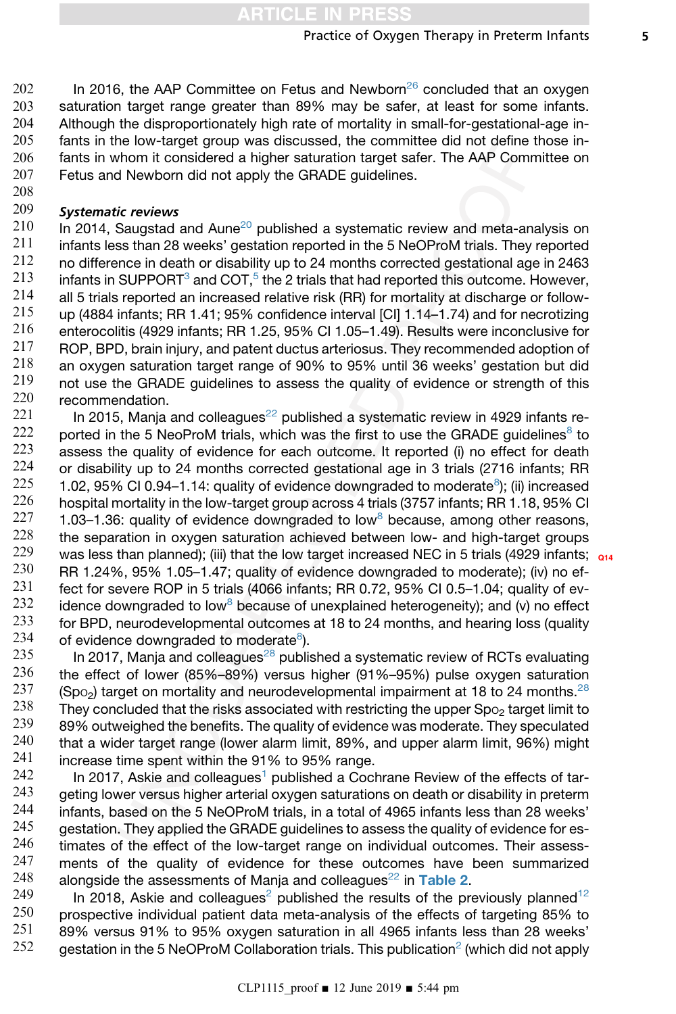## **ARTICLE IN PRESS**

### Practice of Oxygen Therapy in Preterm Infants

In 2016, the AAP Committee on Fetus and Newborn<sup>[26](#page-12-0)</sup> concluded that an oxygen saturation target range greater than 89% may be safer, at least for some infants. Although the disproportionately high rate of mortality in small-for-gestational-age infants in the low-target group was discussed, the committee did not define those infants in whom it considered a higher saturation target safer. The AAP Committee on Fetus and Newborn did not apply the GRADE guidelines. 202 203 204 205 206 207

208

#### Systematic reviews 209

In [20](#page-11-0)14, Saugstad and Aune<sup>20</sup> published a systematic review and meta-analysis on infants less than 28 weeks' gestation reported in the 5 NeOProM trials. They reported no difference in death or disability up to 24 months corrected gestational age in 2463 infants in SUPPORT $3$  and COT, $5$  the 2 trials that had reported this outcome. However, all 5 trials reported an increased relative risk (RR) for mortality at discharge or followup (4884 infants; RR 1.41; 95% confidence interval [CI] 1.14–1.74) and for necrotizing enterocolitis (4929 infants; RR 1.25, 95% CI 1.05–1.49). Results were inconclusive for ROP, BPD, brain injury, and patent ductus arteriosus. They recommended adoption of an oxygen saturation target range of 90% to 95% until 36 weeks' gestation but did not use the GRADE guidelines to assess the quality of evidence or strength of this recommendation. 210 211 212 213 214 215 216 217 218 219 220

In 2015, Manja and colleagues<sup>[22](#page-12-0)</sup> published a systematic review in 4929 infants re-ported in the 5 NeoProM trials, which was the first to use the GRADE quidelines<sup>[8](#page-11-0)</sup> to assess the quality of evidence for each outcome. It reported (i) no effect for death or disability up to 24 months corrected gestational age in 3 trials (2716 infants; RR 1.02, 95% CI 0.94-1.14: quality of evidence downgraded to moderate $\mathrm{^8}$  $\mathrm{^8}$  $\mathrm{^8}$ ); (ii) increased hospital mortality in the low-target group across 4 trials (3757 infants; RR 1.18, 95% CI 1.03–1.36: quality of evidence downgraded to low<sup>8</sup> because, among other reasons, the separation in oxygen saturation achieved between low- and high-target groups was less than planned); (iii) that the low target increased NEC in 5 trials (4929 infants;  $_{014}$ RR 1.24%, 95% 1.05–1.47; quality of evidence downgraded to moderate); (iv) no effect for severe ROP in 5 trials (4066 infants; RR 0.72, 95% CI 0.5–1.04; quality of evidence downgraded to low<sup>8</sup> because of unexplained heterogeneity); and (v) no effect for BPD, neurodevelopmental outcomes at 18 to 24 months, and hearing loss (quality of evidence downgraded to moderate<sup>[8](#page-11-0)</sup>). 221 222 223 224 225 226 227 228 229 230 231 232 233 234

In 2017, Manja and colleagues<sup>[28](#page-12-0)</sup> published a systematic review of RCTs evaluating the effect of lower (85%–89%) versus higher (91%–95%) pulse oxygen saturation  $(Spo<sub>2</sub>)$  target on mortality and neurodevelopmental impairment at 18 to 24 months.<sup>[28](#page-12-0)</sup> They concluded that the risks associated with restricting the upper  $Spo<sub>2</sub>$  target limit to 89% outweighed the benefits. The quality of evidence was moderate. They speculated that a wider target range (lower alarm limit, 89%, and upper alarm limit, 96%) might increase time spent within the 91% to 95% range. 235 236 237 238 239 240 241

In 20[1](#page-11-0)7, Askie and colleagues<sup>1</sup> published a Cochrane Review of the effects of targeting lower versus higher arterial oxygen saturations on death or disability in preterm infants, based on the 5 NeOProM trials, in a total of 4965 infants less than 28 weeks' gestation. They applied the GRADE guidelines to assess the quality of evidence for estimates of the effect of the low-target range on individual outcomes. Their assessments of the quality of evidence for these outcomes have been summarized alongside the assessments of Manja and colleagues $^{22}$  $^{22}$  $^{22}$  in [Table 2](#page-5-0). 242 243 244 245 246 247 248

In [2](#page-11-0)018, Askie and colleagues<sup>2</sup> published the results of the previously planned<sup>[12](#page-11-0)</sup> prospective individual patient data meta-analysis of the effects of targeting 85% to 89% versus 91% to 95% oxygen saturation in all 4965 infants less than 28 weeks' gestation in the 5 NeOProM Collaboration trials. This publication<sup>[2](#page-11-0)</sup> (which did not apply 249 250 251 252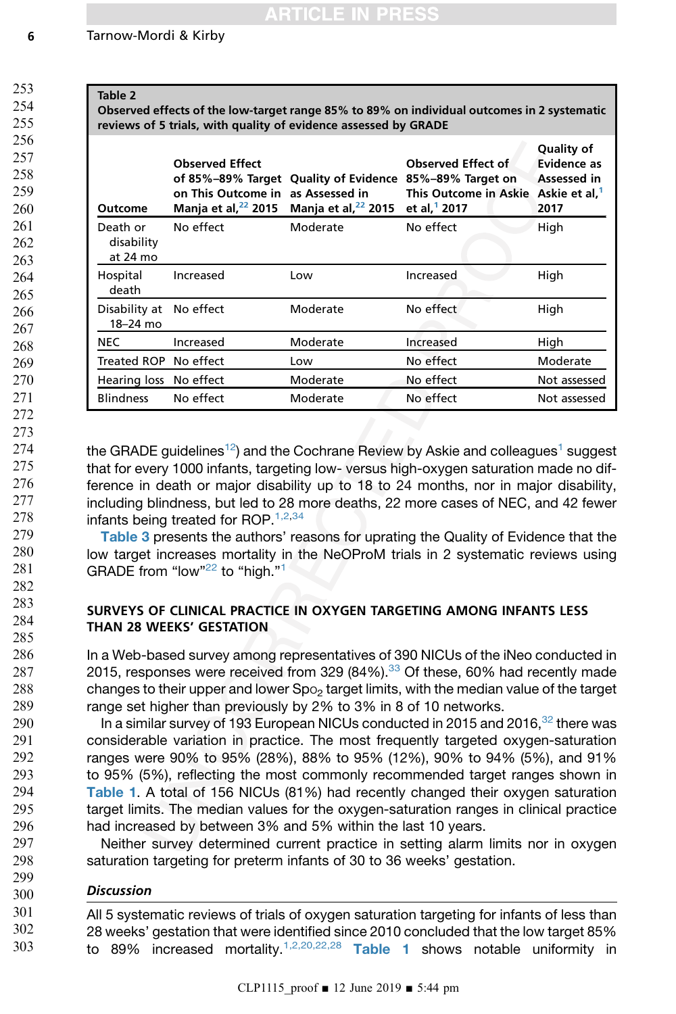<span id="page-5-0"></span>

Table 2 Observed effects of the low-target range 85% to 89% on individual outcomes in 2 systematic reviews of 5 trials, with quality of evidence assessed by GRADE

| Outcome                            | <b>Observed Effect</b><br>on This Outcome in as Assessed in | of 85%-89% Target Quality of Evidence<br>Manja et al, $^{22}$ 2015 Manja et al, $^{22}$ 2015 | Observed Effect of<br>85%-89% Target on<br>This Outcome in Askie Askie et al. <sup>1</sup><br>et al, <sup>1</sup> 2017 | Quality of<br>Evidence as<br>Assessed in<br>2017 |
|------------------------------------|-------------------------------------------------------------|----------------------------------------------------------------------------------------------|------------------------------------------------------------------------------------------------------------------------|--------------------------------------------------|
| Death or<br>disability<br>at 24 mo | No effect                                                   | Moderate                                                                                     | No effect                                                                                                              | High                                             |
| Hospital<br>death                  | Increased                                                   | Low                                                                                          | Increased                                                                                                              | High                                             |
| Disability at<br>18-24 mo          | No effect                                                   | Moderate                                                                                     | No effect                                                                                                              | High                                             |
| <b>NEC</b>                         | Increased                                                   | Moderate                                                                                     | Increased                                                                                                              | High                                             |
| Treated ROP No effect              |                                                             | Low                                                                                          | No effect                                                                                                              | Moderate                                         |
| Hearing loss No effect             |                                                             | Moderate                                                                                     | No effect                                                                                                              | Not assessed                                     |
| <b>Blindness</b>                   | No effect                                                   | Moderate                                                                                     | No effect                                                                                                              | Not assessed                                     |

the GRADE guidelines<sup>12</sup>) and the Cochrane Review by Askie and colleagues<sup>1</sup> suggest that for every 1000 infants, targeting low- versus high-oxygen saturation made no difference in death or major disability up to 18 to 24 months, nor in major disability, including blindness, but led to 28 more deaths, 22 more cases of NEC, and 42 fewer infants being treated for ROP.  $1,2,34$  $1,2,34$ 

[Table 3](#page-6-0) presents the authors' reasons for uprating the Quality of Evidence that the low target increases mortality in the NeOProM trials in 2 systematic reviews using GRADE from "low"<sup>22</sup> to "high."<sup>1</sup>

## SURVEYS OF CLINICAL PRACTICE IN OXYGEN TARGETING AMONG INFANTS LESS THAN 28 WEEKS' GESTATION

In a Web-based survey among representatives of 390 NICUs of the iNeo conducted in 2015, responses were received from 329 (84%). $33$  Of these, 60% had recently made changes to their upper and lower  $Spo<sub>2</sub>$  target limits, with the median value of the target range set higher than previously by 2% to 3% in 8 of 10 networks. 286 287 288 289

In a similar survey of 193 European NICUs conducted in 2015 and 2016, $32$  there was considerable variation in practice. The most frequently targeted oxygen-saturation ranges were 90% to 95% (28%), 88% to 95% (12%), 90% to 94% (5%), and 91% to 95% (5%), reflecting the most commonly recommended target ranges shown in [Table 1](#page-3-0). A total of 156 NICUs (81%) had recently changed their oxygen saturation target limits. The median values for the oxygen-saturation ranges in clinical practice had increased by between 3% and 5% within the last 10 years. 290 291 292 293 294 295 296 297

Neither survey determined current practice in setting alarm limits nor in oxygen saturation targeting for preterm infants of 30 to 36 weeks' gestation.

#### **Discussion** 299 300

298

All 5 systematic reviews of trials of oxygen saturation targeting for infants of less than 28 weeks' gestation that were identified since 2010 concluded that the low target 85% to 89% increased mortality.<sup>[1,2,20,22,28](#page-11-0)</sup> [Table 1](#page-3-0) shows notable uniformity in 301 302 303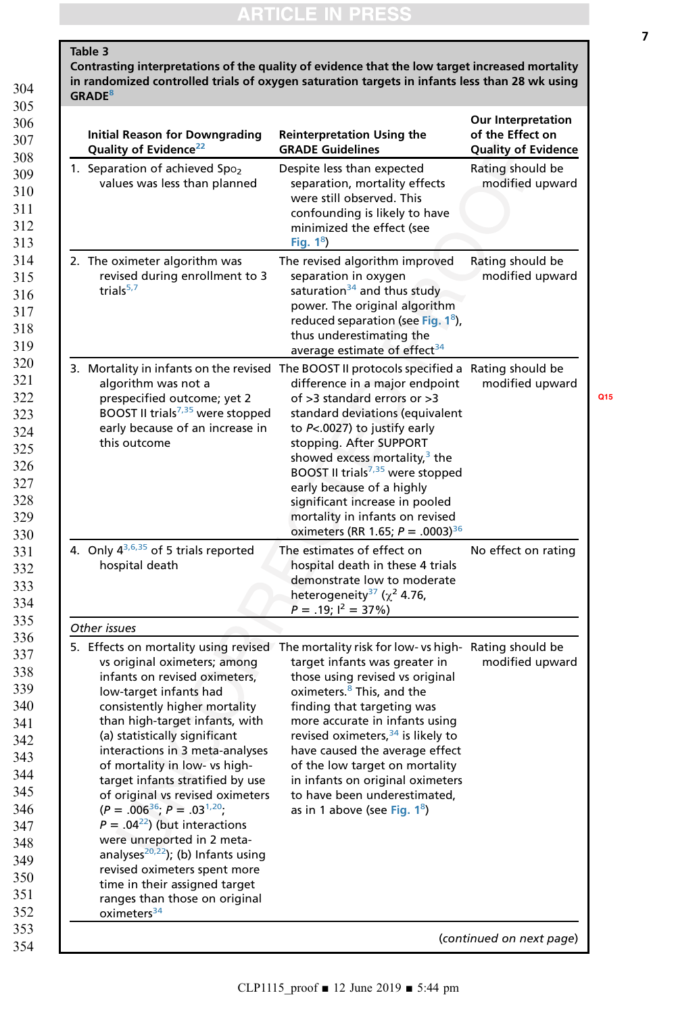Contrasting interpretations of the quality of evidence that the low target increased mortality in randomized controlled trials of oxygen saturation targets in infants less than 28 wk using

353 354 <span id="page-6-0"></span>Table 3

GRADE[8](#page-11-0)

| <b>Initial Reason for Downgrading</b><br>Quality of Evidence <sup>22</sup>                                                                                                                                                                                                                                                                                                                                                                                                                                                                                                                                                                                               | <b>Reinterpretation Using the</b><br><b>GRADE Guidelines</b>                                                                                                                                                                                                                                                                                                                                                                                                                                        | <b>Our Interpretation</b><br>of the Effect on<br><b>Quality of Evidence</b> |
|--------------------------------------------------------------------------------------------------------------------------------------------------------------------------------------------------------------------------------------------------------------------------------------------------------------------------------------------------------------------------------------------------------------------------------------------------------------------------------------------------------------------------------------------------------------------------------------------------------------------------------------------------------------------------|-----------------------------------------------------------------------------------------------------------------------------------------------------------------------------------------------------------------------------------------------------------------------------------------------------------------------------------------------------------------------------------------------------------------------------------------------------------------------------------------------------|-----------------------------------------------------------------------------|
| 1. Separation of achieved Spo <sub>2</sub><br>values was less than planned                                                                                                                                                                                                                                                                                                                                                                                                                                                                                                                                                                                               | Despite less than expected<br>separation, mortality effects<br>were still observed. This<br>confounding is likely to have<br>minimized the effect (see<br>Fig. $18$ )                                                                                                                                                                                                                                                                                                                               | Rating should be<br>modified upward                                         |
| 2. The oximeter algorithm was<br>revised during enrollment to 3<br>trials $5,7$                                                                                                                                                                                                                                                                                                                                                                                                                                                                                                                                                                                          | The revised algorithm improved<br>separation in oxygen<br>saturation <sup>34</sup> and thus study<br>power. The original algorithm<br>reduced separation (see Fig. 18),<br>thus underestimating the<br>average estimate of effect <sup>34</sup>                                                                                                                                                                                                                                                     | Rating should be<br>modified upward                                         |
| algorithm was not a<br>prespecified outcome; yet 2<br>BOOST II trials <sup>7,35</sup> were stopped<br>early because of an increase in<br>this outcome                                                                                                                                                                                                                                                                                                                                                                                                                                                                                                                    | 3. Mortality in infants on the revised The BOOST II protocols specified a Rating should be<br>difference in a major endpoint<br>of >3 standard errors or >3<br>standard deviations (equivalent<br>to $P<.0027$ ) to justify early<br>stopping. After SUPPORT<br>showed excess mortality, <sup>3</sup> the<br>BOOST II trials <sup>7,35</sup> were stopped<br>early because of a highly<br>significant increase in pooled<br>mortality in infants on revised<br>oximeters (RR 1.65; $P = .0003^{36}$ | modified upward                                                             |
| 4. Only $4^{3,6,35}$ of 5 trials reported<br>hospital death                                                                                                                                                                                                                                                                                                                                                                                                                                                                                                                                                                                                              | The estimates of effect on<br>hospital death in these 4 trials<br>demonstrate low to moderate<br>heterogeneity <sup>37</sup> ( $\chi^2$ 4.76,<br>$P = .19; I2 = 37\%)$                                                                                                                                                                                                                                                                                                                              | No effect on rating                                                         |
| Other issues                                                                                                                                                                                                                                                                                                                                                                                                                                                                                                                                                                                                                                                             |                                                                                                                                                                                                                                                                                                                                                                                                                                                                                                     |                                                                             |
| 5. Effects on mortality using revised<br>vs original oximeters; among<br>infants on revised oximeters,<br>low-target infants had<br>consistently higher mortality<br>than high-target infants, with<br>(a) statistically significant<br>interactions in 3 meta-analyses<br>of mortality in low- vs high-<br>target infants stratified by use<br>of original vs revised oximeters<br>$(P = .006^{36}; P = .03^{1,20};$<br>$P = .04^{22}$ ) (but interactions<br>were unreported in 2 meta-<br>analyses <sup>20,22</sup> ); (b) Infants using<br>revised oximeters spent more<br>time in their assigned target<br>ranges than those on original<br>oximeters <sup>34</sup> | The mortality risk for low- vs high- Rating should be<br>target infants was greater in<br>those using revised vs original<br>oximeters. <sup>8</sup> This, and the<br>finding that targeting was<br>more accurate in infants using<br>revised oximeters, <sup>34</sup> is likely to<br>have caused the average effect<br>of the low target on mortality<br>in infants on original oximeters<br>to have been underestimated.<br>as in 1 above (see Fig. 1 <sup>o</sup> )                             | modified upward                                                             |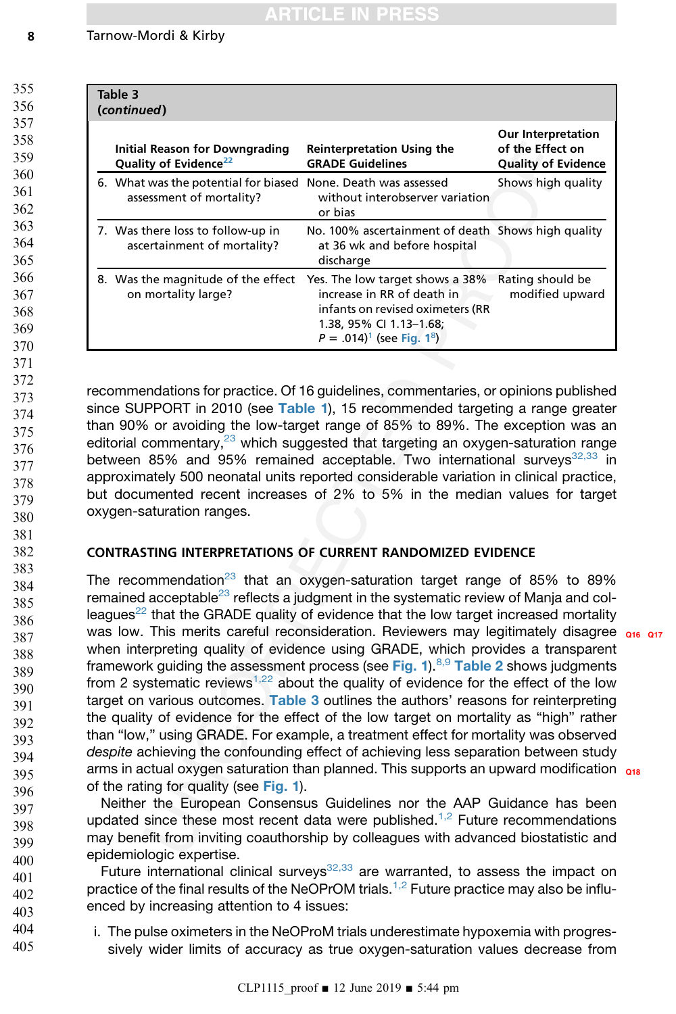| 357 |
|-----|
| 358 |
| 359 |
| 360 |
| 361 |

404 405

355 356

| Initial Reason for Downgrading<br>Quality of Evidence <sup>22</sup>                       | <b>Reinterpretation Using the</b><br><b>GRADE Guidelines</b>                                                                                                                       | <b>Our Interpretation</b><br>of the Effect on<br><b>Quality of Evidence</b> |
|-------------------------------------------------------------------------------------------|------------------------------------------------------------------------------------------------------------------------------------------------------------------------------------|-----------------------------------------------------------------------------|
| 6. What was the potential for biased None. Death was assessed<br>assessment of mortality? | without interobserver variation<br>or bias                                                                                                                                         | Shows high quality                                                          |
| 7. Was there loss to follow-up in<br>ascertainment of mortality?                          | No. 100% ascertainment of death Shows high quality<br>at 36 wk and before hospital<br>discharge                                                                                    |                                                                             |
| 8. Was the magnitude of the effect<br>on mortality large?                                 | Yes. The low target shows a 38%<br>increase in RR of death in<br>infants on revised oximeters (RR<br>1.38, 95% CI 1.13-1.68;<br>$P = .014$ <sup>1</sup> (see Fig. 1 <sup>8</sup> ) | Rating should be<br>modified upward                                         |

recommendations for practice. Of 16 guidelines, commentaries, or opinions published since SUPPORT in 2010 (see [Table 1](#page-3-0)), 15 recommended targeting a range greater than 90% or avoiding the low-target range of 85% to 89%. The exception was an editorial commentary, $^{23}$  $^{23}$  $^{23}$  which suggested that targeting an oxygen-saturation range between 85% and 95% remained acceptable. Two international surveys<sup>[32,33](#page-12-0)</sup> in approximately 500 neonatal units reported considerable variation in clinical practice, but documented recent increases of 2% to 5% in the median values for target oxygen-saturation ranges.

## CONTRASTING INTERPRETATIONS OF CURRENT RANDOMIZED EVIDENCE

The recommendation<sup>[23](#page-12-0)</sup> that an oxygen-saturation target range of 85% to 89% remained acceptable<sup>[23](#page-12-0)</sup> reflects a judgment in the systematic review of Manja and col-leagues<sup>[22](#page-12-0)</sup> that the GRADE quality of evidence that the low target increased mortality was low. This merits careful reconsideration. Reviewers may legitimately disagree  $_{Q16}$   $_{Q17}$ when interpreting quality of evidence using GRADE, which provides a transparent framework guiding the assessment process (see [Fig. 1](#page-2-0)). $8,9$  [Table 2](#page-5-0) shows judgments from 2 systematic reviews<sup>[1,22](#page-11-0)</sup> about the quality of evidence for the effect of the low target on various outcomes. [Table 3](#page-6-0) outlines the authors' reasons for reinterpreting the quality of evidence for the effect of the low target on mortality as "high" rather than "low," using GRADE. For example, a treatment effect for mortality was observed *despite* achieving the confounding effect of achieving less separation between study arms in actual oxygen saturation than planned. This supports an upward modification  $_{018}$ of the rating for quality (see [Fig. 1](#page-2-0)). 383 384 385 386 387 388 389 390 391 392 393 394 395 396

Neither the European Consensus Guidelines nor the AAP Guidance has been updated since these most recent data were published.<sup>[1,2](#page-11-0)</sup> Future recommendations may benefit from inviting coauthorship by colleagues with advanced biostatistic and epidemiologic expertise. 397 398 399 400

Future international clinical surveys $32,33$  are warranted, to assess the impact on practice of the final results of the NeOPrOM trials.<sup>[1,2](#page-11-0)</sup> Future practice may also be influenced by increasing attention to 4 issues: 401 402 403

i. The pulse oximeters in the NeOProM trials underestimate hypoxemia with progressively wider limits of accuracy as true oxygen-saturation values decrease from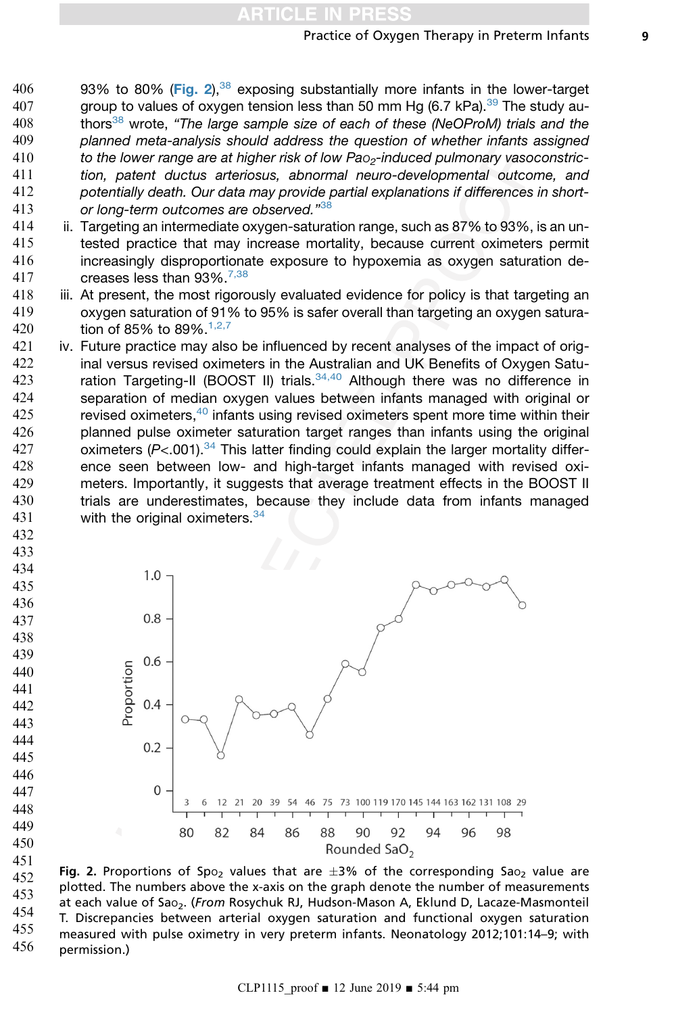## **ARTICLE IN PRES**

### Practice of Oxygen Therapy in Preterm Infants

93% to 80% (Fig. 2), exposing substantially more infants in the lower-target group to values of oxygen tension less than 50 mm Hg  $(6.7 \text{ kPa})$ .<sup>[39](#page-12-0)</sup> The study au-thors<sup>[38](#page-12-0)</sup> wrote, "The large sample size of each of these (NeOProM) trials and the *planned meta-analysis should address the question of whether infants assigned* to the lower range are at higher risk of low Pao<sub>2</sub>-induced pulmonary vasoconstric*tion, patent ductus arteriosus, abnormal neuro-developmental outcome, and potentially death. Our data may provide partial explanations if differences in shortor long-term outcomes are observed."*[38](#page-12-0) 

- ii. Targeting an intermediate oxygen-saturation range, such as 87% to 93%, is an untested practice that may increase mortality, because current oximeters permit increasingly disproportionate exposure to hypoxemia as oxygen saturation de-creases less than 93%.<sup>[7,38](#page-11-0)</sup>
- iii. At present, the most rigorously evaluated evidence for policy is that targeting an oxygen saturation of 91% to 95% is safer overall than targeting an oxygen saturation of 85% to 89%.  $1,2,7$
- iv. Future practice may also be influenced by recent analyses of the impact of original versus revised oximeters in the Australian and UK Benefits of Oxygen Satu-ration Targeting-II (BOOST II) trials.<sup>[34,40](#page-12-0)</sup> Although there was no difference in separation of median oxygen values between infants managed with original or revised oximeters,<sup>[40](#page-13-0)</sup> infants using revised oximeters spent more time within their planned pulse oximeter saturation target ranges than infants using the original oximeters  $(P<.001)$ .<sup>[34](#page-12-0)</sup> This latter finding could explain the larger mortality difference seen between low- and high-target infants managed with revised oximeters. Importantly, it suggests that average treatment effects in the BOOST II trials are underestimates, because they include data from infants managed with the original oximeters.<sup>[34](#page-12-0)</sup>





Fig. 2. Proportions of Spo<sub>2</sub> values that are  $\pm 3%$  of the corresponding Sao<sub>2</sub> value are plotted. The numbers above the x-axis on the graph denote the number of measurements at each value of Sao<sub>2</sub>. (From Rosychuk RJ, Hudson-Mason A, Eklund D, Lacaze-Masmonteil T. Discrepancies between arterial oxygen saturation and functional oxygen saturation measured with pulse oximetry in very preterm infants. Neonatology 2012;101:14–9; with permission.)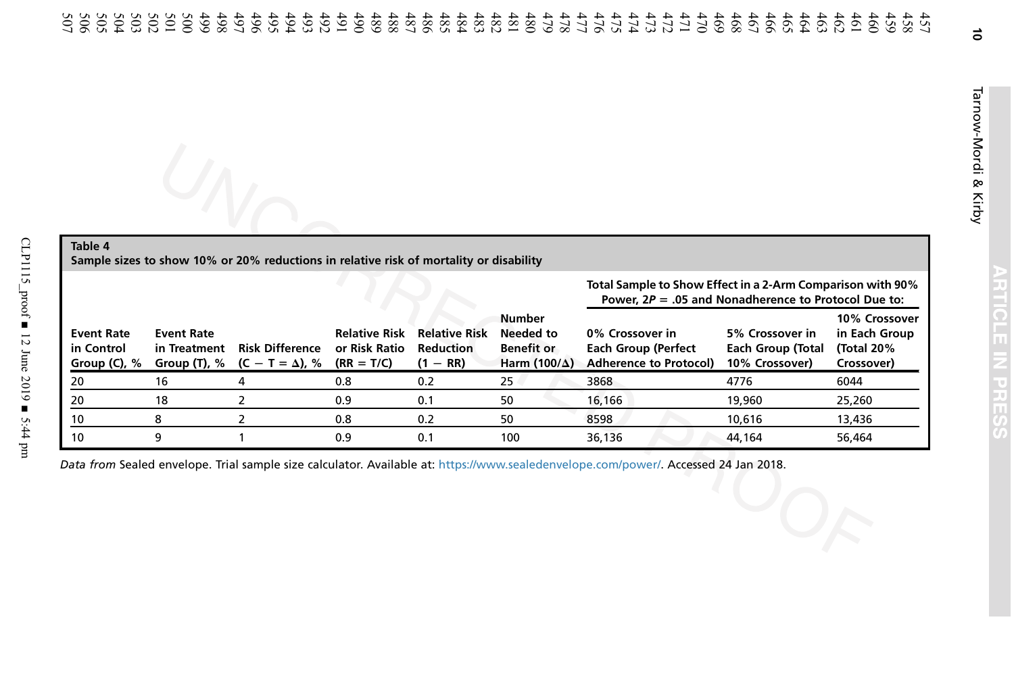<span id="page-9-0"></span>

| f<br>l                               |
|--------------------------------------|
| ļ<br>I<br>ı<br>l<br>I<br>í<br>I<br>ı |
| ì<br>١<br>¢<br>۱<br>ı<br>ï<br>ì      |
| Ī<br>١                               |
| ı<br>Ï<br>i                          |

| Table 4                                         |                                   | Sample sizes to show 10% or 20% reductions in relative risk of mortality or disability |                                                       |                                                        |                                                                   |                                                                                                                       |                                                        |                                                            |
|-------------------------------------------------|-----------------------------------|----------------------------------------------------------------------------------------|-------------------------------------------------------|--------------------------------------------------------|-------------------------------------------------------------------|-----------------------------------------------------------------------------------------------------------------------|--------------------------------------------------------|------------------------------------------------------------|
|                                                 |                                   |                                                                                        |                                                       |                                                        |                                                                   | Total Sample to Show Effect in a 2-Arm Comparison with 90%<br>Power, $2P = 0.05$ and Nonadherence to Protocol Due to: |                                                        |                                                            |
| <b>Event Rate</b><br>in Control<br>Group (C), % | <b>Event Rate</b><br>in Treatment | <b>Risk Difference</b><br>Group (T), % $(C - T = \Delta)$ , %                          | <b>Relative Risk</b><br>or Risk Ratio<br>$(RR = T/C)$ | <b>Relative Risk</b><br><b>Reduction</b><br>$(1 - RR)$ | Number<br>Needed to<br><b>Benefit or</b><br>Harm (100/ $\Delta$ ) | 0% Crossover in<br><b>Each Group (Perfect</b><br><b>Adherence to Protocol)</b>                                        | 5% Crossover in<br>Each Group (Total<br>10% Crossover) | 10% Crossover<br>in Each Group<br>(Total 20%<br>Crossover) |
| 20                                              | 16                                | 4                                                                                      | 0.8                                                   | 0.2                                                    | 25                                                                | 3868                                                                                                                  | 4776                                                   | 6044                                                       |
| 20                                              | 18                                |                                                                                        | 0.9                                                   | 0.1                                                    | 50                                                                | 16,166                                                                                                                | 19,960                                                 | 25,260                                                     |
| 10                                              |                                   |                                                                                        | 0.8                                                   | 0.2                                                    | 50                                                                | 8598                                                                                                                  | 10.616                                                 | 13,436                                                     |
| 10                                              | 9                                 |                                                                                        | 0.9                                                   | 0.1                                                    | 100                                                               | 36,136                                                                                                                | 44.164                                                 | 56,464                                                     |

Data from Sealed envelope. Trial sample size calculator. Available at: <https://www.sealedenvelope.com/power/>. Accessed 24 Jan 2018.

Tarnow-Mordi & Kirby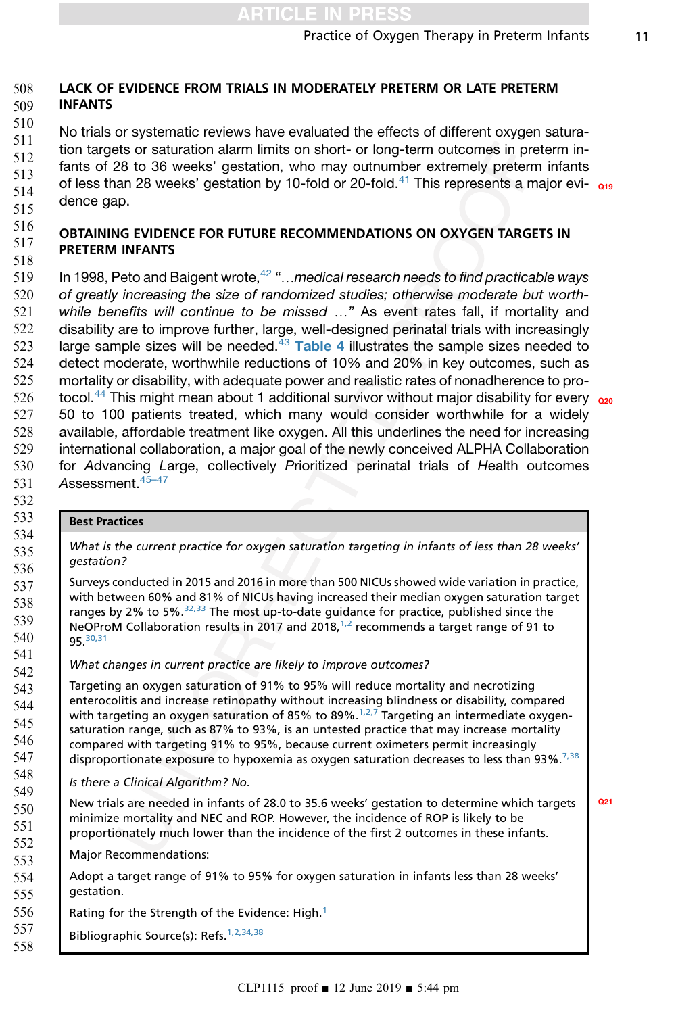#### LACK OF EVIDENCE FROM TRIALS IN MODERATELY PRETERM OR LATE PRETERM INFANTS 508 509

No trials or systematic reviews have evaluated the effects of different oxygen saturation targets or saturation alarm limits on short- or long-term outcomes in preterm infants of 28 to 36 weeks' gestation, who may outnumber extremely preterm infants of less than 28 weeks' gestation by 10-fold or 20-fold.<sup>[41](#page-13-0)</sup> This represents a major evi-  $_{019}$ dence gap. 510 511 512 513 514 515

#### OBTAINING EVIDENCE FOR FUTURE RECOMMENDATIONS ON OXYGEN TARGETS IN PRETERM INFANTS 516 517 518

In 1998, Peto and Baigent wrote,<sup>[42](#page-13-0)</sup> "...medical research needs to find practicable ways *of greatly increasing the size of randomized studies; otherwise moderate but worthwhile benefits will continue to be missed* .*"* As event rates fall, if mortality and disability are to improve further, large, well-designed perinatal trials with increasingly large sample sizes will be needed. $43$  [Table 4](#page-9-0) illustrates the sample sizes needed to detect moderate, worthwhile reductions of 10% and 20% in key outcomes, such as mortality or disability, with adequate power and realistic rates of nonadherence to pro-tocol.<sup>[44](#page-13-0)</sup> This might mean about 1 additional survivor without major disability for every  $_{0.20}$ 50 to 100 patients treated, which many would consider worthwhile for a widely available, affordable treatment like oxygen. All this underlines the need for increasing international collaboration, a major goal of the newly conceived ALPHA Collaboration for *A*dvancing *L*arge, collectively *P*rioritized perinatal trials of *H*ealth outcomes *A*ssessment.[45–47](#page-13-0) 519 520 521 522 523 524 525 526 527 528 529 530 531

| <b>Best Practices</b>                               |                                                                                                                                                                                                                                                                                                                                                                                                                                                                                                                                                                                         |
|-----------------------------------------------------|-----------------------------------------------------------------------------------------------------------------------------------------------------------------------------------------------------------------------------------------------------------------------------------------------------------------------------------------------------------------------------------------------------------------------------------------------------------------------------------------------------------------------------------------------------------------------------------------|
| qestation?                                          | What is the current practice for oxygen saturation targeting in infants of less than 28 weeks'                                                                                                                                                                                                                                                                                                                                                                                                                                                                                          |
| 95.30,31                                            | Surveys conducted in 2015 and 2016 in more than 500 NICUs showed wide variation in practice,<br>with between 60% and 81% of NICUs having increased their median oxygen saturation target<br>ranges by 2% to 5%. <sup>32,33</sup> The most up-to-date guidance for practice, published since the<br>NeOProM Collaboration results in 2017 and 2018, <sup>1,2</sup> recommends a target range of 91 to                                                                                                                                                                                    |
|                                                     | What changes in current practice are likely to improve outcomes?                                                                                                                                                                                                                                                                                                                                                                                                                                                                                                                        |
|                                                     | Targeting an oxygen saturation of 91% to 95% will reduce mortality and necrotizing<br>enterocolitis and increase retinopathy without increasing blindness or disability, compared<br>with targeting an oxygen saturation of 85% to 89%. <sup>1,2,7</sup> Targeting an intermediate oxygen-<br>saturation range, such as 87% to 93%, is an untested practice that may increase mortality<br>compared with targeting 91% to 95%, because current oximeters permit increasingly<br>disproportionate exposure to hypoxemia as oxygen saturation decreases to less than 93%. <sup>7,38</sup> |
| Is there a Clinical Algorithm? No.                  |                                                                                                                                                                                                                                                                                                                                                                                                                                                                                                                                                                                         |
|                                                     | New trials are needed in infants of 28.0 to 35.6 weeks' gestation to determine which targets<br>minimize mortality and NEC and ROP. However, the incidence of ROP is likely to be<br>proportionately much lower than the incidence of the first 2 outcomes in these infants.                                                                                                                                                                                                                                                                                                            |
| <b>Major Recommendations:</b>                       |                                                                                                                                                                                                                                                                                                                                                                                                                                                                                                                                                                                         |
| gestation.                                          | Adopt a target range of 91% to 95% for oxygen saturation in infants less than 28 weeks'                                                                                                                                                                                                                                                                                                                                                                                                                                                                                                 |
|                                                     | Rating for the Strength of the Evidence: High. <sup>1</sup>                                                                                                                                                                                                                                                                                                                                                                                                                                                                                                                             |
| Bibliographic Source(s): Refs. <sup>1,2,34,38</sup> |                                                                                                                                                                                                                                                                                                                                                                                                                                                                                                                                                                                         |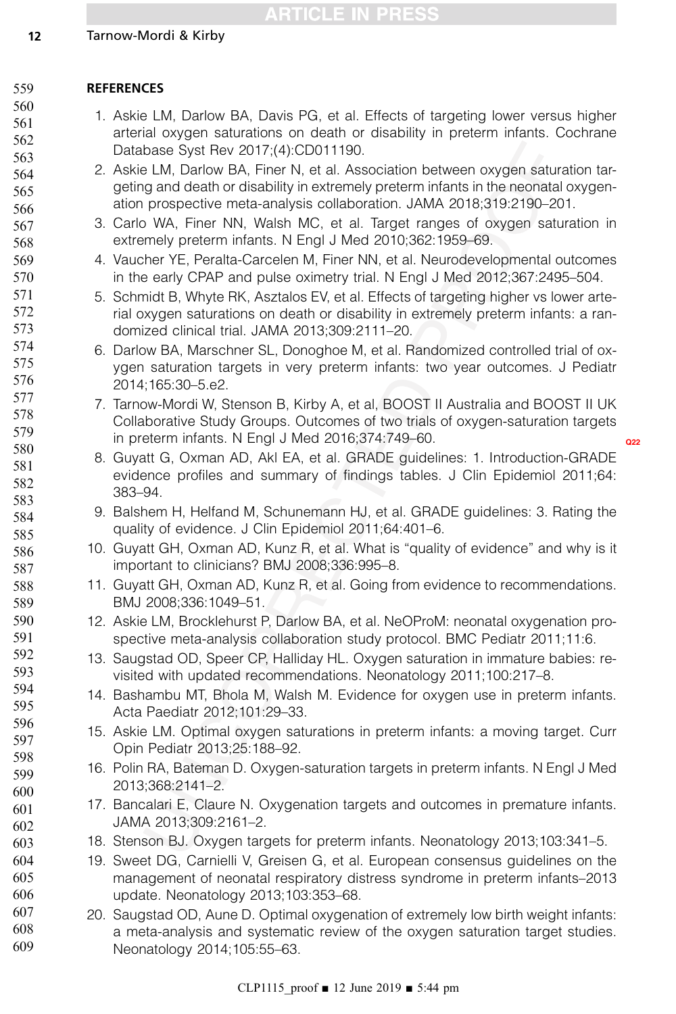#### <span id="page-11-0"></span>**REFERENCES** 559

- 1. Askie LM, Darlow BA, Davis PG, et al. Effects of targeting lower versus higher arterial oxygen saturations on death or disability in preterm infants. Cochrane Database Syst Rev 2017;(4):CD011190.
	- 2. Askie LM, Darlow BA, Finer N, et al. Association between oxygen saturation targeting and death or disability in extremely preterm infants in the neonatal oxygenation prospective meta-analysis collaboration. JAMA 2018;319:2190–201.
	- 3. Carlo WA, Finer NN, Walsh MC, et al. Target ranges of oxygen saturation in extremely preterm infants. N Engl J Med 2010;362:1959–69.
		- 4. Vaucher YE, Peralta-Carcelen M, Finer NN, et al. Neurodevelopmental outcomes in the early CPAP and pulse oximetry trial. N Engl J Med 2012;367:2495–504.
	- 5. Schmidt B, Whyte RK, Asztalos EV, et al. Effects of targeting higher vs lower arterial oxygen saturations on death or disability in extremely preterm infants: a randomized clinical trial. JAMA 2013;309:2111–20.
	- 6. Darlow BA, Marschner SL, Donoghoe M, et al. Randomized controlled trial of oxygen saturation targets in very preterm infants: two year outcomes. J Pediatr 2014;165:30–5.e2.
	- 7. Tarnow-Mordi W, Stenson B, Kirby A, et al, BOOST II Australia and BOOST II UK Collaborative Study Groups. Outcomes of two trials of oxygen-saturation targets in preterm infants. N Engl J Med  $2016;374:749-60$ .
	- 8. Guyatt G, Oxman AD, Akl EA, et al. GRADE guidelines: 1. Introduction-GRADE evidence profiles and summary of findings tables. J Clin Epidemiol 2011;64: 383–94.
		- 9. Balshem H, Helfand M, Schunemann HJ, et al. GRADE guidelines: 3. Rating the quality of evidence. J Clin Epidemiol 2011;64:401–6.
- 10. Guyatt GH, Oxman AD, Kunz R, et al. What is "quality of evidence" and why is it important to clinicians? BMJ 2008;336:995–8.
- 11. Guyatt GH, Oxman AD, Kunz R, et al. Going from evidence to recommendations. BMJ 2008;336:1049–51.
- 12. Askie LM, Brocklehurst P, Darlow BA, et al. NeOProM: neonatal oxygenation prospective meta-analysis collaboration study protocol. BMC Pediatr 2011;11:6.
- 13. Saugstad OD, Speer CP, Halliday HL. Oxygen saturation in immature babies: revisited with updated recommendations. Neonatology 2011;100:217–8.
- 14. Bashambu MT, Bhola M, Walsh M. Evidence for oxygen use in preterm infants. Acta Paediatr 2012;101:29–33.
	- 15. Askie LM. Optimal oxygen saturations in preterm infants: a moving target. Curr Opin Pediatr 2013;25:188–92.
- 16. Polin RA, Bateman D. Oxygen-saturation targets in preterm infants. N Engl J Med 2013;368:2141–2.
- 17. Bancalari E, Claure N. Oxygenation targets and outcomes in premature infants. JAMA 2013;309:2161–2.
- 18. Stenson BJ. Oxygen targets for preterm infants. Neonatology 2013;103:341–5. 603
- 19. Sweet DG, Carnielli V, Greisen G, et al. European consensus guidelines on the management of neonatal respiratory distress syndrome in preterm infants–2013 update. Neonatology 2013;103:353–68. 604 605 606
- 20. Saugstad OD, Aune D. Optimal oxygenation of extremely low birth weight infants: a meta-analysis and systematic review of the oxygen saturation target studies. Neonatology 2014;105:55–63. 607 608 609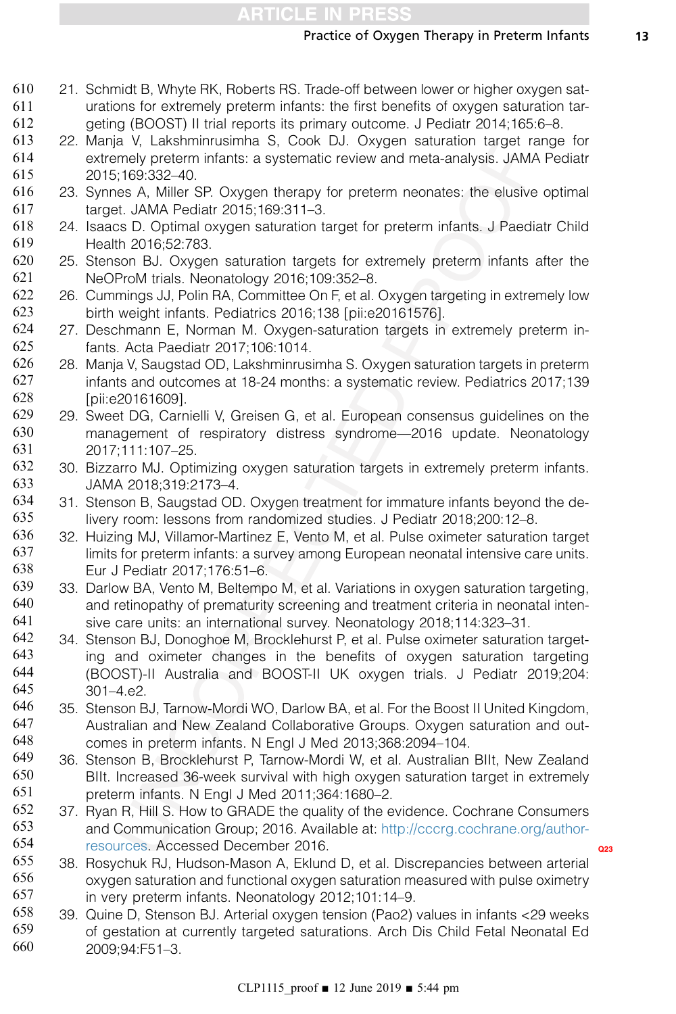## **ARTICLE IN PRESS**

- <span id="page-12-0"></span>21. Schmidt B, Whyte RK, Roberts RS. Trade-off between lower or higher oxygen saturations for extremely preterm infants: the first benefits of oxygen saturation targeting (BOOST) II trial reports its primary outcome. J Pediatr 2014;165:6–8. 610 611 612
- 22. Manja V, Lakshminrusimha S, Cook DJ. Oxygen saturation target range for extremely preterm infants: a systematic review and meta-analysis. JAMA Pediatr 2015;169:332–40. 613 614 615
- 23. Synnes A, Miller SP. Oxygen therapy for preterm neonates: the elusive optimal target. JAMA Pediatr 2015;169:311–3. 616 617
- 24. Isaacs D. Optimal oxygen saturation target for preterm infants. J Paediatr Child Health 2016;52:783. 618 619
- 25. Stenson BJ. Oxygen saturation targets for extremely preterm infants after the NeOProM trials. Neonatology 2016;109:352–8. 620 621
- 26. Cummings JJ, Polin RA, Committee On F, et al. Oxygen targeting in extremely low birth weight infants. Pediatrics 2016;138 [pii:e20161576]. 622 623
- 27. Deschmann E, Norman M. Oxygen-saturation targets in extremely preterm infants. Acta Paediatr 2017;106:1014. 624 625
- 28. Manja V, Saugstad OD, Lakshminrusimha S. Oxygen saturation targets in preterm infants and outcomes at 18-24 months: a systematic review. Pediatrics 2017;139 [pii:e20161609]. 626 627 628
- 29. Sweet DG, Carnielli V, Greisen G, et al. European consensus guidelines on the management of respiratory distress syndrome—2016 update. Neonatology 2017;111:107–25. 629 630 631
- 30. Bizzarro MJ. Optimizing oxygen saturation targets in extremely preterm infants. JAMA 2018;319:2173–4. 632 633
- 31. Stenson B, Saugstad OD. Oxygen treatment for immature infants beyond the delivery room: lessons from randomized studies. J Pediatr 2018;200:12–8. 634 635
- 32. Huizing MJ, Villamor-Martinez E, Vento M, et al. Pulse oximeter saturation target limits for preterm infants: a survey among European neonatal intensive care units. Eur J Pediatr 2017;176:51–6. 636 637 638
- 33. Darlow BA, Vento M, Beltempo M, et al. Variations in oxygen saturation targeting, and retinopathy of prematurity screening and treatment criteria in neonatal intensive care units: an international survey. Neonatology 2018;114:323–31. 639 640 641
- 34. Stenson BJ, Donoghoe M, Brocklehurst P, et al. Pulse oximeter saturation targeting and oximeter changes in the benefits of oxygen saturation targeting (BOOST)-II Australia and BOOST-II UK oxygen trials. J Pediatr 2019;204: 301–4.e2. 642 643 644 645
- 35. Stenson BJ, Tarnow-Mordi WO, Darlow BA, et al. For the Boost II United Kingdom, Australian and New Zealand Collaborative Groups. Oxygen saturation and outcomes in preterm infants. N Engl J Med 2013;368:2094–104. 646 647 648
- 36. Stenson B, Brocklehurst P, Tarnow-Mordi W, et al. Australian BIIt, New Zealand BIIt. Increased 36-week survival with high oxygen saturation target in extremely preterm infants. N Engl J Med 2011;364:1680–2. 649 650 651
- 37. Ryan R, Hill S. How to GRADE the quality of the evidence. Cochrane Consumers and Communication Group; 2016. Available at: [http://cccrg.cochrane.org/author](http://cccrg.cochrane.org/author-resources)[resources](http://cccrg.cochrane.org/author-resources). Accessed December 2016. 652 653 654
- 38. Rosychuk RJ, Hudson-Mason A, Eklund D, et al. Discrepancies between arterial oxygen saturation and functional oxygen saturation measured with pulse oximetry in very preterm infants. Neonatology 2012;101:14–9. 655 656 657
- 39. Quine D, Stenson BJ. Arterial oxygen tension (Pao2) values in infants <29 weeks of gestation at currently targeted saturations. Arch Dis Child Fetal Neonatal Ed 2009;94:F51–3. 658 659 660